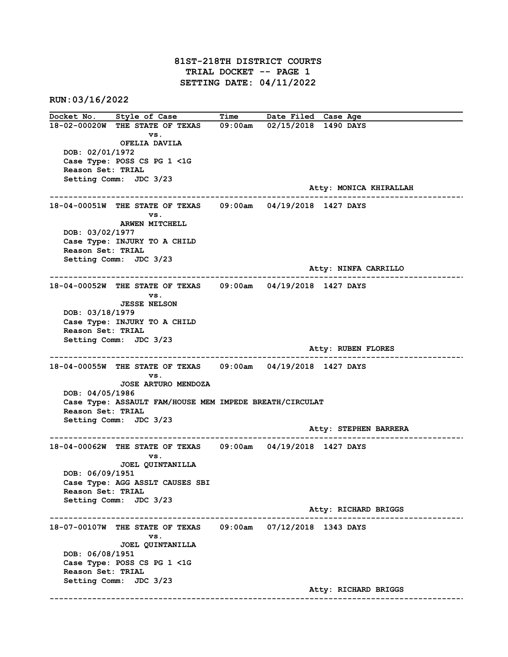### 81ST-218TH DISTRICT COURTS TRIAL DOCKET -- PAGE 1 SETTING DATE: 04/11/2022

RUN:03/16/2022

Docket No. Style of Case Time Date Filed Case Age 18-02-00020W THE STATE OF TEXAS 09:00am 02/15/2018 1490 DAYS vs. OFELIA DAVILA DOB: 02/01/1972 Case Type: POSS CS PG 1 <1G Reason Set: TRIAL Setting Comm: JDC 3/23 Atty: MONICA KHIRALLAH ------------------------------------------------------------------------------------------------------------------------ 18-04-00051W THE STATE OF TEXAS 09:00am 04/19/2018 1427 DAYS vs. ARWEN MITCHELL DOB: 03/02/1977 Case Type: INJURY TO A CHILD Reason Set: TRIAL Setting Comm: JDC 3/23 Atty: NINFA CARRILLO ------------------------------------------------------------------------------------------------------------------------ 18-04-00052W THE STATE OF TEXAS 09:00am 04/19/2018 1427 DAYS vs. JESSE NELSON DOB: 03/18/1979 Case Type: INJURY TO A CHILD Reason Set: TRIAL Setting Comm: JDC 3/23 Atty: RUBEN FLORES ------------------------------------------------------------------------------------------------------------------------ 18-04-00055W THE STATE OF TEXAS 09:00am 04/19/2018 1427 DAYS vs. JOSE ARTURO MENDOZA DOB: 04/05/1986 Case Type: ASSAULT FAM/HOUSE MEM IMPEDE BREATH/CIRCULAT Reason Set: TRIAL Setting Comm: JDC 3/23 Atty: STEPHEN BARRERA ------------------------------------------------------------------------------------------------------------------------ 18-04-00062W THE STATE OF TEXAS vs. JOEL QUINTANILLA DOB: 06/09/1951 Case Type: AGG ASSLT CAUSES SBI Reason Set: TRIAL Setting Comm: JDC 3/23 Atty: RICHARD BRIGGS ------------------------------------------------------------------------------------------------------------------------ 18-07-00107W THE STATE OF TEXAS 09:00am 07/12/2018 1343 DAYS vs. JOEL QUINTANILLA DOB: 06/08/1951 Case Type: POSS CS PG 1 <1G Reason Set: TRIAL Setting Comm: JDC 3/23 Atty: RICHARD BRIGGS ------------------------------------------------------------------------------------------------------------------------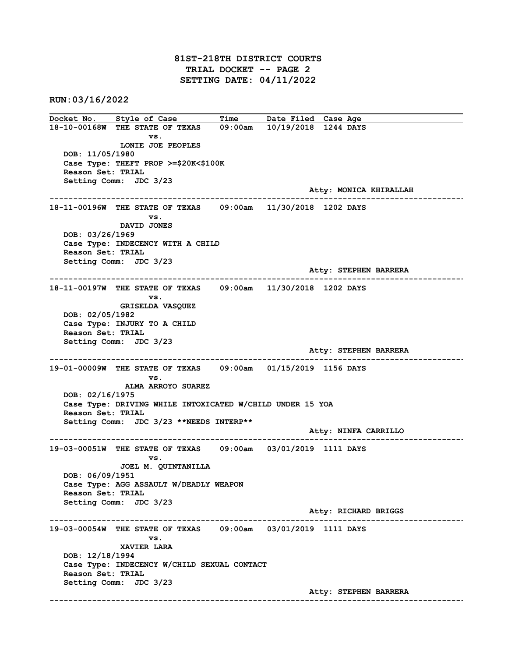81ST-218TH DISTRICT COURTS TRIAL DOCKET -- PAGE 2 SETTING DATE: 04/11/2022

RUN:03/16/2022

Docket No. Style of Case Time Date Filed Case Age 18-10-00168W THE STATE OF TEXAS 09:00am 10/19/2018 1244 DAYS vs. LONIE JOE PEOPLES DOB: 11/05/1980 Case Type: THEFT PROP >=\$20K<\$100K Reason Set: TRIAL Setting Comm: JDC 3/23 Atty: MONICA KHIRALLAH ------------------------------------------------------------------------------------------------------------------------ 18-11-00196W THE STATE OF TEXAS 09:00am 11/30/2018 1202 DAYS vs. DAVID JONES DOB: 03/26/1969 Case Type: INDECENCY WITH A CHILD Reason Set: TRIAL Setting Comm: JDC 3/23 Atty: STEPHEN BARRERA ------------------------------------------------------------------------------------------------------------------------ 18-11-00197W THE STATE OF TEXAS vs. GRISELDA VASQUEZ DOB: 02/05/1982 Case Type: INJURY TO A CHILD Reason Set: TRIAL Setting Comm: JDC 3/23 Atty: STEPHEN BARRERA ------------------------------------------------------------------------------------------------------------------------ 19-01-00009W THE STATE OF TEXAS 09:00am 01/15/2019 1156 DAYS vs. ALMA ARROYO SUAREZ DOB: 02/16/1975 Case Type: DRIVING WHILE INTOXICATED W/CHILD UNDER 15 YOA Reason Set: TRIAL Setting Comm: JDC 3/23 \*\*NEEDS INTERP\*\* Atty: NINFA CARRILLO ------------------------------------------------------------------------------------------------------------------------ 19-03-00051W THE STATE OF TEXAS 09:00am 03/01/2019 1111 DAYS vs. JOEL M. QUINTANILLA DOB: 06/09/1951 Case Type: AGG ASSAULT W/DEADLY WEAPON Reason Set: TRIAL Setting Comm: JDC 3/23 Atty: RICHARD BRIGGS ------------------------------------------------------------------------------------------------------------------------ 19-03-00054W THE STATE OF TEXAS 09:00am 03/01/2019 1111 DAYS vs. XAVIER LARA DOB: 12/18/1994 Case Type: INDECENCY W/CHILD SEXUAL CONTACT Reason Set: TRIAL Setting Comm: JDC 3/23 Atty: STEPHEN BARRERA ------------------------------------------------------------------------------------------------------------------------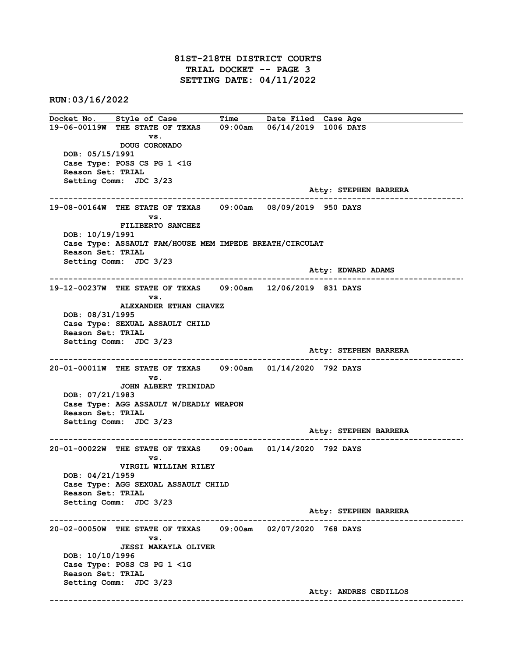# 81ST-218TH DISTRICT COURTS TRIAL DOCKET -- PAGE 3 SETTING DATE: 04/11/2022

RUN:03/16/2022

Docket No. Style of Case Time Date Filed Case Age 19-06-00119W THE STATE OF TEXAS 09:00am 06/14/2019 1006 DAYS vs. DOUG CORONADO DOB: 05/15/1991 Case Type: POSS CS PG 1 <1G Reason Set: TRIAL Setting Comm: JDC 3/23 Atty: STEPHEN BARRERA ------------------------------------------------------------------------------------------------------------------------ 19-08-00164W THE STATE OF TEXAS 09:00am 08/09/2019 950 DAYS vs. FILIBERTO SANCHEZ DOB: 10/19/1991 Case Type: ASSAULT FAM/HOUSE MEM IMPEDE BREATH/CIRCULAT Reason Set: TRIAL Setting Comm: JDC 3/23 Atty: EDWARD ADAMS ------------------------------------------------------------------------------------------------------------------------ 19-12-00237W THE STATE OF TEXAS vs. ALEXANDER ETHAN CHAVEZ DOB: 08/31/1995 Case Type: SEXUAL ASSAULT CHILD Reason Set: TRIAL Setting Comm: JDC 3/23 Atty: STEPHEN BARRERA ------------------------------------------------------------------------------------------------------------------------ 20-01-00011W THE STATE OF TEXAS 09:00am 01/14/2020 792 DAYS vs. JOHN ALBERT TRINIDAD DOB: 07/21/1983 Case Type: AGG ASSAULT W/DEADLY WEAPON Reason Set: TRIAL Setting Comm: JDC 3/23 Atty: STEPHEN BARRERA ------------------------------------------------------------------------------------------------------------------------ 20-01-00022W THE STATE OF TEXAS 09:00am 01/14/2020 792 DAYS vs. VIRGIL WILLIAM RILEY DOB: 04/21/1959 Case Type: AGG SEXUAL ASSAULT CHILD Reason Set: TRIAL Setting Comm: JDC 3/23 Atty: STEPHEN BARRERA ------------------------------------------------------------------------------------------------------------------------ 20-02-00050W THE STATE OF TEXAS 09:00am 02/07/2020 768 DAYS vs. JESSI MAKAYLA OLIVER DOB: 10/10/1996 Case Type: POSS CS PG 1 <1G Reason Set: TRIAL Setting Comm: JDC 3/23 Atty: ANDRES CEDILLOS ------------------------------------------------------------------------------------------------------------------------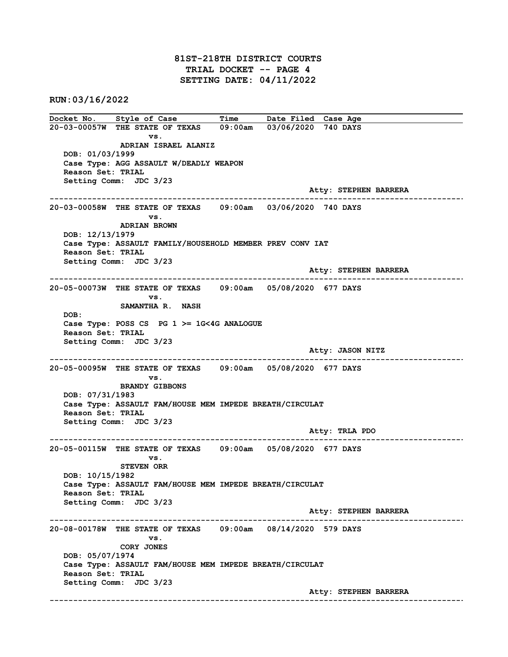# 81ST-218TH DISTRICT COURTS TRIAL DOCKET -- PAGE 4 SETTING DATE: 04/11/2022

RUN:03/16/2022

Docket No. Style of Case Time Date Filed Case Age 20-03-00057W THE STATE OF TEXAS 09:00am 03/06/2020 740 DAYS vs. ADRIAN ISRAEL ALANIZ DOB: 01/03/1999 Case Type: AGG ASSAULT W/DEADLY WEAPON Reason Set: TRIAL Setting Comm: JDC 3/23 Atty: STEPHEN BARRERA ------------------------------------------------------------------------------------------------------------------------ 20-03-00058W THE STATE OF TEXAS 09:00am 03/06/2020 740 DAYS vs. ADRIAN BROWN DOB: 12/13/1979 Case Type: ASSAULT FAMILY/HOUSEHOLD MEMBER PREV CONV IAT Reason Set: TRIAL Setting Comm: JDC 3/23 Atty: STEPHEN BARRERA ------------------------------------------------------------------------------------------------------------------------ 20-05-00073W THE STATE OF TEXAS vs. SAMANTHA R. NASH DOB: Case Type: POSS CS PG 1 >= 1G<4G ANALOGUE Reason Set: TRIAL Setting Comm: JDC 3/23 Atty: JASON NITZ ------------------------------------------------------------------------------------------------------------------------ 20-05-00095W THE STATE OF TEXAS 09:00am 05/08/2020 677 DAYS vs. BRANDY GIBBONS DOB: 07/31/1983 Case Type: ASSAULT FAM/HOUSE MEM IMPEDE BREATH/CIRCULAT Reason Set: TRIAL Setting Comm: JDC 3/23 Atty: TRLA PDO ------------------------------------------------------------------------------------------------------------------------ 20-05-00115W THE STATE OF TEXAS 09:00am 05/08/2020 677 DAYS vs. STEVEN ORR DOB: 10/15/1982 Case Type: ASSAULT FAM/HOUSE MEM IMPEDE BREATH/CIRCULAT Reason Set: TRIAL Setting Comm: JDC 3/23 Atty: STEPHEN BARRERA ------------------------------------------------------------------------------------------------------------------------ 20-08-00178W THE STATE OF TEXAS 09:00am 08/14/2020 579 DAYS vs. CORY JONES DOB: 05/07/1974 Case Type: ASSAULT FAM/HOUSE MEM IMPEDE BREATH/CIRCULAT Reason Set: TRIAL Setting Comm: JDC 3/23 Atty: STEPHEN BARRERA ------------------------------------------------------------------------------------------------------------------------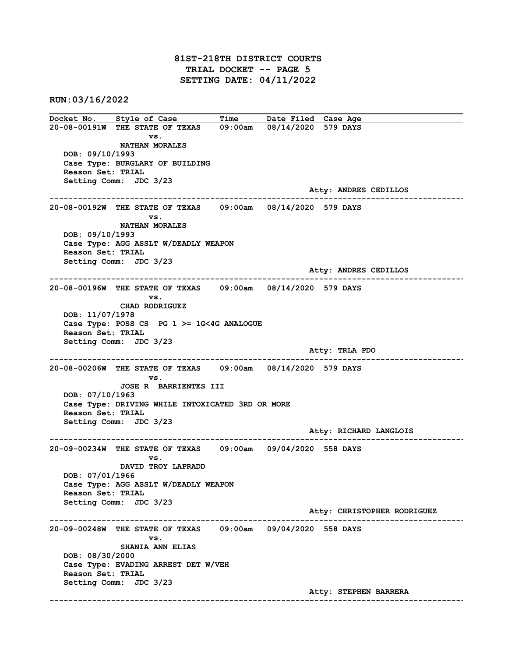# 81ST-218TH DISTRICT COURTS TRIAL DOCKET -- PAGE 5 SETTING DATE: 04/11/2022

RUN:03/16/2022

Docket No. Style of Case Time Date Filed Case Age 20-08-00191W THE STATE OF TEXAS 09:00am 08/14/2020 579 DAYS vs. NATHAN MORALES DOB: 09/10/1993 Case Type: BURGLARY OF BUILDING Reason Set: TRIAL Setting Comm: JDC 3/23 Atty: ANDRES CEDILLOS ------------------------------------------------------------------------------------------------------------------------ 20-08-00192W THE STATE OF TEXAS 09:00am 08/14/2020 579 DAYS vs. NATHAN MORALES DOB: 09/10/1993 Case Type: AGG ASSLT W/DEADLY WEAPON Reason Set: TRIAL Setting Comm: JDC 3/23 Atty: ANDRES CEDILLOS ------------------------------------------------------------------------------------------------------------------------ 20-08-00196W THE STATE OF TEXAS vs. CHAD RODRIGUEZ DOB: 11/07/1978 Case Type: POSS CS PG  $1$  >= 1G<4G ANALOGUE Reason Set: TRIAL Setting Comm: JDC 3/23 Atty: TRLA PDO ------------------------------------------------------------------------------------------------------------------------ 20-08-00206W THE STATE OF TEXAS 09:00am 08/14/2020 579 DAYS vs. JOSE R BARRIENTES III DOB: 07/10/1963 Case Type: DRIVING WHILE INTOXICATED 3RD OR MORE Reason Set: TRIAL Setting Comm: JDC 3/23 Atty: RICHARD LANGLOIS ------------------------------------------------------------------------------------------------------------------------ 20-09-00234W THE STATE OF TEXAS 09:00am 09/04/2020 558 DAYS vs. DAVID TROY LAPRADD DOB: 07/01/1966 Case Type: AGG ASSLT W/DEADLY WEAPON Reason Set: TRIAL Setting Comm: JDC 3/23 Atty: CHRISTOPHER RODRIGUEZ ------------------------------------------------------------------------------------------------------------------------ 20-09-00248W THE STATE OF TEXAS 09:00am 09/04/2020 558 DAYS vs. SHANIA ANN ELIAS DOB: 08/30/2000 Case Type: EVADING ARREST DET W/VEH Reason Set: TRIAL Setting Comm: JDC 3/23 Atty: STEPHEN BARRERA ------------------------------------------------------------------------------------------------------------------------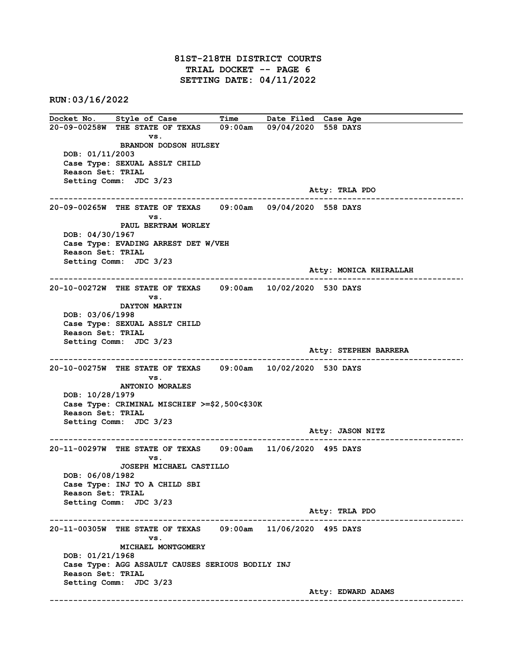# 81ST-218TH DISTRICT COURTS TRIAL DOCKET -- PAGE 6 SETTING DATE: 04/11/2022

RUN:03/16/2022

Docket No. Style of Case Time Date Filed Case Age 20-09-00258W THE STATE OF TEXAS 09:00am 09/04/2020 558 DAYS vs. BRANDON DODSON HULSEY DOB: 01/11/2003 Case Type: SEXUAL ASSLT CHILD Reason Set: TRIAL Setting Comm: JDC 3/23 Atty: TRLA PDO ------------------------------------------------------------------------------------------------------------------------ 20-09-00265W THE STATE OF TEXAS 09:00am 09/04/2020 558 DAYS vs. PAUL BERTRAM WORLEY DOB: 04/30/1967 Case Type: EVADING ARREST DET W/VEH Reason Set: TRIAL Setting Comm: JDC 3/23 Atty: MONICA KHIRALLAH ------------------------------------------------------------------------------------------------------------------------  $20-10-00272W$  THE STATE OF TEXAS vs. DAYTON MARTIN DOB: 03/06/1998 Case Type: SEXUAL ASSLT CHILD Reason Set: TRIAL Setting Comm: JDC 3/23 Atty: STEPHEN BARRERA ------------------------------------------------------------------------------------------------------------------------ 20-10-00275W THE STATE OF TEXAS 09:00am 10/02/2020 530 DAYS vs. ANTONIO MORALES DOB: 10/28/1979 Case Type: CRIMINAL MISCHIEF >=\$2,500<\$30K Reason Set: TRIAL Setting Comm: JDC 3/23 Atty: JASON NITZ ------------------------------------------------------------------------------------------------------------------------ 20-11-00297W THE STATE OF TEXAS 09:00am 11/06/2020 495 DAYS vs. JOSEPH MICHAEL CASTILLO DOB: 06/08/1982 Case Type: INJ TO A CHILD SBI Reason Set: TRIAL Setting Comm: JDC 3/23 Atty: TRLA PDO ------------------------------------------------------------------------------------------------------------------------ 20-11-00305W THE STATE OF TEXAS 09:00am 11/06/2020 495 DAYS vs. MICHAEL MONTGOMERY DOB: 01/21/1968 Case Type: AGG ASSAULT CAUSES SERIOUS BODILY INJ Reason Set: TRIAL Setting Comm: JDC 3/23 Atty: EDWARD ADAMS ------------------------------------------------------------------------------------------------------------------------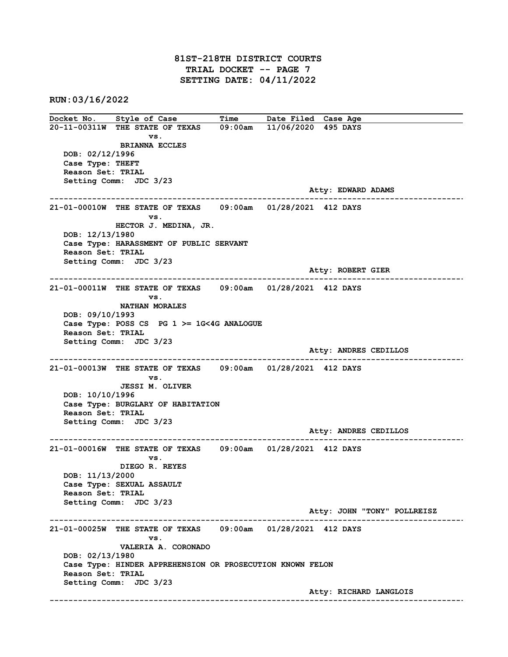# 81ST-218TH DISTRICT COURTS TRIAL DOCKET -- PAGE 7 SETTING DATE: 04/11/2022

RUN:03/16/2022

Docket No. Style of Case Time Date Filed Case Age 20-11-00311W THE STATE OF TEXAS 09:00am 11/06/2020 495 DAYS vs. BRIANNA ECCLES DOB: 02/12/1996 Case Type: THEFT Reason Set: TRIAL Setting Comm: JDC 3/23 Atty: EDWARD ADAMS ------------------------------------------------------------------------------------------------------------------------ 21-01-00010W THE STATE OF TEXAS 09:00am 01/28/2021 412 DAYS vs. HECTOR J. MEDINA, JR. DOB: 12/13/1980 Case Type: HARASSMENT OF PUBLIC SERVANT Reason Set: TRIAL Setting Comm: JDC 3/23 Atty: ROBERT GIER ------------------------------------------------------------------------------------------------------------------------  $21-01-00011$ W THE STATE OF TEXAS vs. NATHAN MORALES DOB: 09/10/1993 Case Type: POSS CS PG  $1$  >= 1G<4G ANALOGUE Reason Set: TRIAL Setting Comm: JDC 3/23 Atty: ANDRES CEDILLOS ------------------------------------------------------------------------------------------------------------------------ 21-01-00013W THE STATE OF TEXAS 09:00am 01/28/2021 412 DAYS vs. JESSI M. OLIVER DOB: 10/10/1996 Case Type: BURGLARY OF HABITATION Reason Set: TRIAL Setting Comm: JDC 3/23 Atty: ANDRES CEDILLOS ------------------------------------------------------------------------------------------------------------------------ 21-01-00016W THE STATE OF TEXAS 09:00am 01/28/2021 412 DAYS vs. DIEGO R. REYES DOB: 11/13/2000 Case Type: SEXUAL ASSAULT Reason Set: TRIAL Setting Comm: JDC 3/23 Atty: JOHN "TONY" POLLREISZ ------------------------------------------------------------------------------------------------------------------------ 21-01-00025W THE STATE OF TEXAS 09:00am 01/28/2021 412 DAYS vs. VALERIA A. CORONADO DOB: 02/13/1980 Case Type: HINDER APPREHENSION OR PROSECUTION KNOWN FELON Reason Set: TRIAL Setting Comm: JDC 3/23 Atty: RICHARD LANGLOIS ------------------------------------------------------------------------------------------------------------------------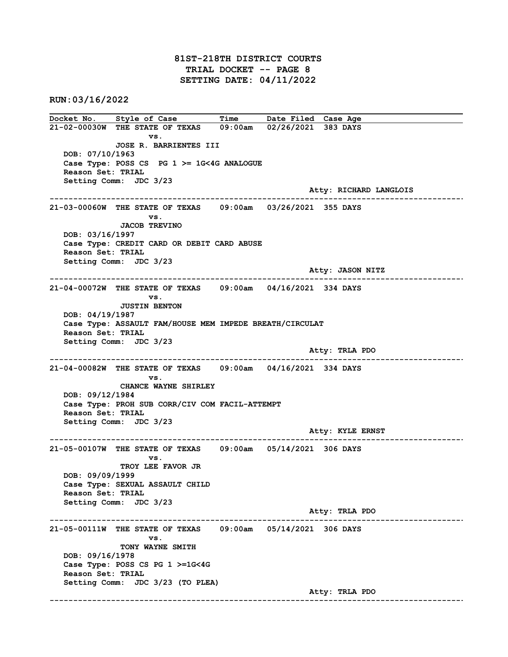81ST-218TH DISTRICT COURTS TRIAL DOCKET -- PAGE 8 SETTING DATE: 04/11/2022

RUN:03/16/2022

Docket No. Style of Case Time Date Filed Case Age 21-02-00030W THE STATE OF TEXAS 09:00am 02/26/2021 383 DAYS vs. JOSE R. BARRIENTES III DOB: 07/10/1963 Case Type: POSS CS PG 1 >= 1G<4G ANALOGUE Reason Set: TRIAL Setting Comm: JDC 3/23 Atty: RICHARD LANGLOIS ------------------------------------------------------------------------------------------------------------------------ 21-03-00060W THE STATE OF TEXAS 09:00am 03/26/2021 355 DAYS vs. JACOB TREVINO DOB: 03/16/1997 Case Type: CREDIT CARD OR DEBIT CARD ABUSE Reason Set: TRIAL Setting Comm: JDC 3/23 Atty: JASON NITZ ------------------------------------------------------------------------------------------------------------------------  $21-04-00072$ W THE STATE OF TEXAS vs. JUSTIN BENTON DOB: 04/19/1987 Case Type: ASSAULT FAM/HOUSE MEM IMPEDE BREATH/CIRCULAT Reason Set: TRIAL Setting Comm: JDC 3/23 Atty: TRLA PDO ------------------------------------------------------------------------------------------------------------------------ 21-04-00082W THE STATE OF TEXAS 09:00am 04/16/2021 334 DAYS vs. CHANCE WAYNE SHIRLEY DOB: 09/12/1984 Case Type: PROH SUB CORR/CIV COM FACIL-ATTEMPT Reason Set: TRIAL Setting Comm: JDC 3/23 Atty: KYLE ERNST ------------------------------------------------------------------------------------------------------------------------ 21-05-00107W THE STATE OF TEXAS 09:00am 05/14/2021 306 DAYS vs. TROY LEE FAVOR JR DOB: 09/09/1999 Case Type: SEXUAL ASSAULT CHILD Reason Set: TRIAL Setting Comm: JDC 3/23 Atty: TRLA PDO ------------------------------------------------------------------------------------------------------------------------ 21-05-00111W THE STATE OF TEXAS 09:00am 05/14/2021 306 DAYS vs. TONY WAYNE SMITH DOB: 09/16/1978 Case Type: POSS CS PG 1 >=1G<4G Reason Set: TRIAL Setting Comm: JDC 3/23 (TO PLEA) Atty: TRLA PDO ------------------------------------------------------------------------------------------------------------------------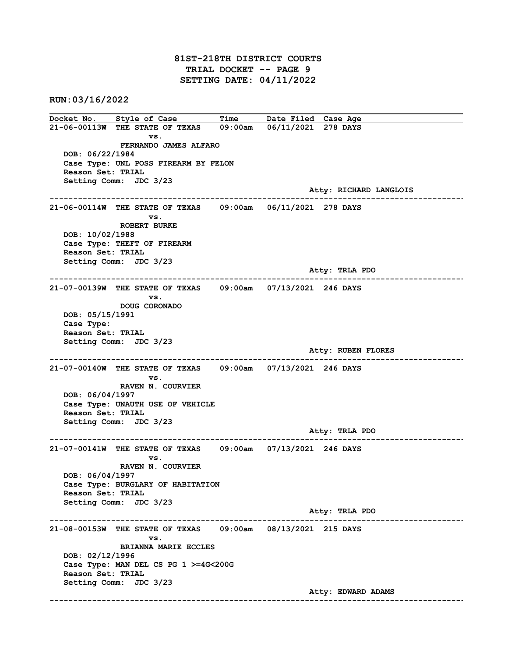81ST-218TH DISTRICT COURTS TRIAL DOCKET -- PAGE 9 SETTING DATE: 04/11/2022

RUN:03/16/2022

Docket No. Style of Case Time Date Filed Case Age 21-06-00113W THE STATE OF TEXAS 09:00am 06/11/2021 278 DAYS vs. FERNANDO JAMES ALFARO DOB: 06/22/1984 Case Type: UNL POSS FIREARM BY FELON Reason Set: TRIAL Setting Comm: JDC 3/23 Atty: RICHARD LANGLOIS ------------------------------------------------------------------------------------------------------------------------ 21-06-00114W THE STATE OF TEXAS 09:00am 06/11/2021 278 DAYS vs. ROBERT BURKE DOB: 10/02/1988 Case Type: THEFT OF FIREARM Reason Set: TRIAL Setting Comm: JDC 3/23 Atty: TRLA PDO ------------------------------------------------------------------------------------------------------------------------  $21-07-00139$ W THE STATE OF TEXAS vs. DOUG CORONADO DOB: 05/15/1991 Case Type: Reason Set: TRIAL Setting Comm: JDC 3/23 Atty: RUBEN FLORES ------------------------------------------------------------------------------------------------------------------------ 21-07-00140W THE STATE OF TEXAS 09:00am 07/13/2021 246 DAYS vs. RAVEN N. COURVIER DOB: 06/04/1997 Case Type: UNAUTH USE OF VEHICLE Reason Set: TRIAL Setting Comm: JDC 3/23 Atty: TRLA PDO ------------------------------------------------------------------------------------------------------------------------ 21-07-00141W THE STATE OF TEXAS 09:00am 07/13/2021 246 DAYS vs. RAVEN N. COURVIER DOB: 06/04/1997 Case Type: BURGLARY OF HABITATION Reason Set: TRIAL Setting Comm: JDC 3/23 Atty: TRLA PDO ------------------------------------------------------------------------------------------------------------------------ 21-08-00153W THE STATE OF TEXAS 09:00am 08/13/2021 215 DAYS vs. BRIANNA MARIE ECCLES DOB: 02/12/1996 Case Type: MAN DEL CS PG 1 >=4G<200G Reason Set: TRIAL Setting Comm: JDC 3/23 Atty: EDWARD ADAMS ------------------------------------------------------------------------------------------------------------------------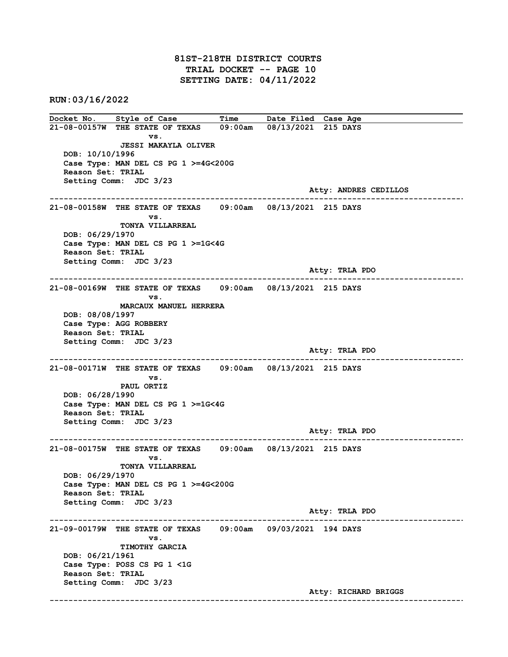81ST-218TH DISTRICT COURTS TRIAL DOCKET -- PAGE 10 SETTING DATE: 04/11/2022

RUN:03/16/2022

Docket No. Style of Case Time Date Filed Case Age 21-08-00157W THE STATE OF TEXAS 09:00am 08/13/2021 215 DAYS vs. JESSI MAKAYLA OLIVER DOB: 10/10/1996 Case Type: MAN DEL CS PG 1 >=4G<200G Reason Set: TRIAL Setting Comm: JDC 3/23 Atty: ANDRES CEDILLOS ------------------------------------------------------------------------------------------------------------------------ 21-08-00158W THE STATE OF TEXAS 09:00am 08/13/2021 215 DAYS vs. TONYA VILLARREAL DOB: 06/29/1970 Case Type: MAN DEL CS PG 1 >=1G<4G Reason Set: TRIAL Setting Comm: JDC 3/23 Atty: TRLA PDO ------------------------------------------------------------------------------------------------------------------------  $21-08-00169$ W THE STATE OF TEXAS vs. MARCAUX MANUEL HERRERA DOB: 08/08/1997 Case Type: AGG ROBBERY Reason Set: TRIAL Setting Comm: JDC 3/23 Atty: TRLA PDO ------------------------------------------------------------------------------------------------------------------------ 21-08-00171W THE STATE OF TEXAS 09:00am 08/13/2021 215 DAYS vs. PAUL ORTIZ DOB: 06/28/1990 Case Type: MAN DEL CS PG 1 >=1G<4G Reason Set: TRIAL Setting Comm: JDC 3/23 Atty: TRLA PDO ------------------------------------------------------------------------------------------------------------------------ 21-08-00175W THE STATE OF TEXAS 09:00am 08/13/2021 215 DAYS vs. TONYA VILLARREAL DOB: 06/29/1970 Case Type: MAN DEL CS PG 1 >=4G<200G Reason Set: TRIAL Setting Comm: JDC 3/23 Atty: TRLA PDO ------------------------------------------------------------------------------------------------------------------------ 21-09-00179W THE STATE OF TEXAS 09:00am 09/03/2021 194 DAYS vs. TIMOTHY GARCIA DOB: 06/21/1961 Case Type: POSS CS PG 1 <1G Reason Set: TRIAL Setting Comm: JDC 3/23 Atty: RICHARD BRIGGS ------------------------------------------------------------------------------------------------------------------------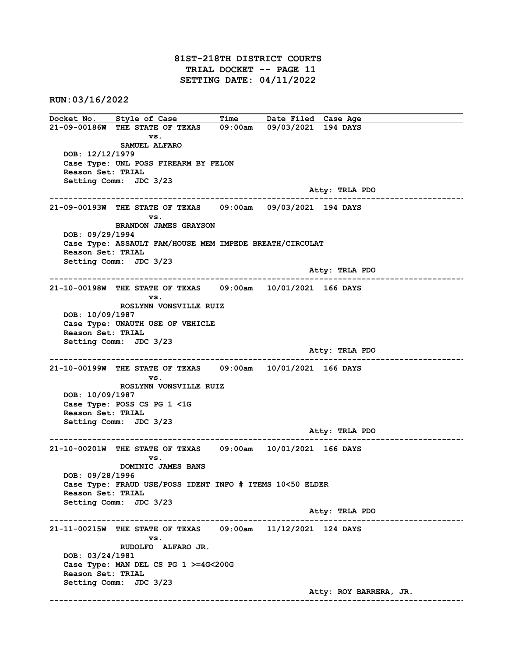81ST-218TH DISTRICT COURTS TRIAL DOCKET -- PAGE 11 SETTING DATE: 04/11/2022

RUN:03/16/2022

Docket No. Style of Case Time Date Filed Case Age 21-09-00186W THE STATE OF TEXAS 09:00am 09/03/2021 194 DAYS vs. SAMUEL ALFARO DOB: 12/12/1979 Case Type: UNL POSS FIREARM BY FELON Reason Set: TRIAL Setting Comm: JDC 3/23 Atty: TRLA PDO ------------------------------------------------------------------------------------------------------------------------ 21-09-00193W THE STATE OF TEXAS 09:00am 09/03/2021 194 DAYS vs. BRANDON JAMES GRAYSON DOB: 09/29/1994 Case Type: ASSAULT FAM/HOUSE MEM IMPEDE BREATH/CIRCULAT Reason Set: TRIAL Setting Comm: JDC 3/23 Atty: TRLA PDO ------------------------------------------------------------------------------------------------------------------------ 21-10-00198W THE STATE OF TEXAS vs. ROSLYNN VONSVILLE RUIZ DOB: 10/09/1987 Case Type: UNAUTH USE OF VEHICLE Reason Set: TRIAL Setting Comm: JDC 3/23 Atty: TRLA PDO ------------------------------------------------------------------------------------------------------------------------ 21-10-00199W THE STATE OF TEXAS 09:00am 10/01/2021 166 DAYS vs. ROSLYNN VONSVILLE RUIZ DOB: 10/09/1987 Case Type: POSS CS PG 1 <1G Reason Set: TRIAL Setting Comm: JDC 3/23 Atty: TRLA PDO ------------------------------------------------------------------------------------------------------------------------ 21-10-00201W THE STATE OF TEXAS 09:00am 10/01/2021 166 DAYS vs. DOMINIC JAMES BANS DOB: 09/28/1996 Case Type: FRAUD USE/POSS IDENT INFO # ITEMS 10<50 ELDER Reason Set: TRIAL Setting Comm: JDC 3/23 Atty: TRLA PDO ------------------------------------------------------------------------------------------------------------------------ 21-11-00215W THE STATE OF TEXAS 09:00am 11/12/2021 124 DAYS vs. RUDOLFO ALFARO JR. DOB: 03/24/1981 Case Type: MAN DEL CS PG 1 >=4G<200G Reason Set: TRIAL Setting Comm: JDC 3/23 Atty: ROY BARRERA, JR. ------------------------------------------------------------------------------------------------------------------------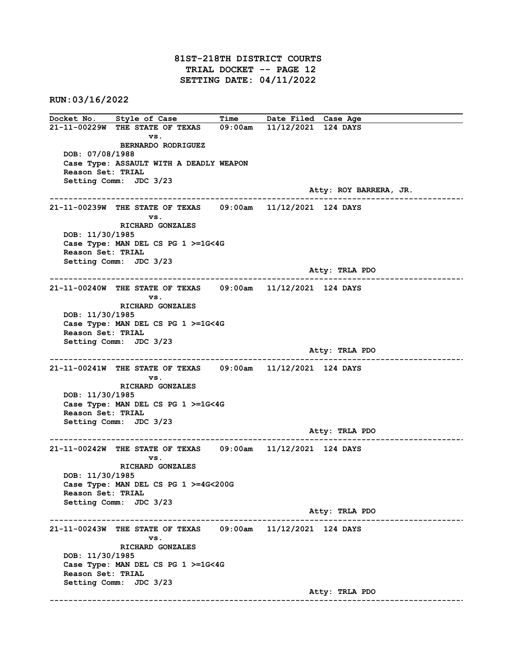81ST-218TH DISTRICT COURTS TRIAL DOCKET -- PAGE 12 SETTING DATE: 04/11/2022

RUN:03/16/2022

Docket No. Style of Case Time Date Filed Case Age 21-11-00229W THE STATE OF TEXAS 09:00am 11/12/2021 124 DAYS vs. BERNARDO RODRIGUEZ DOB: 07/08/1988 Case Type: ASSAULT WITH A DEADLY WEAPON Reason Set: TRIAL Setting Comm: JDC 3/23 Atty: ROY BARRERA, JR. ------------------------------------------------------------------------------------------------------------------------ 21-11-00239W THE STATE OF TEXAS 09:00am 11/12/2021 124 DAYS vs. RICHARD GONZALES DOB: 11/30/1985 Case Type: MAN DEL CS PG 1 >=1G<4G Reason Set: TRIAL Setting Comm: JDC 3/23 Atty: TRLA PDO ------------------------------------------------------------------------------------------------------------------------  $21-11-00240W$  THE STATE OF TEXAS vs. RICHARD GONZALES DOB: 11/30/1985 Case Type: MAN DEL CS PG 1 >=1G<4G Reason Set: TRIAL Setting Comm: JDC 3/23 Atty: TRLA PDO ------------------------------------------------------------------------------------------------------------------------ 21-11-00241W THE STATE OF TEXAS 09:00am 11/12/2021 124 DAYS vs. RICHARD GONZALES DOB: 11/30/1985 Case Type: MAN DEL CS PG 1 >=1G<4G Reason Set: TRIAL Setting Comm: JDC 3/23 Atty: TRLA PDO ------------------------------------------------------------------------------------------------------------------------ 21-11-00242W THE STATE OF TEXAS 09:00am 11/12/2021 124 DAYS vs. RICHARD GONZALES DOB: 11/30/1985 Case Type: MAN DEL CS PG 1 >=4G<200G Reason Set: TRIAL Setting Comm: JDC 3/23 Atty: TRLA PDO ------------------------------------------------------------------------------------------------------------------------ 21-11-00243W THE STATE OF TEXAS 09:00am 11/12/2021 124 DAYS vs. RICHARD GONZALES DOB: 11/30/1985 Case Type: MAN DEL CS PG 1 >=1G<4G Reason Set: TRIAL Setting Comm: JDC 3/23 Atty: TRLA PDO ------------------------------------------------------------------------------------------------------------------------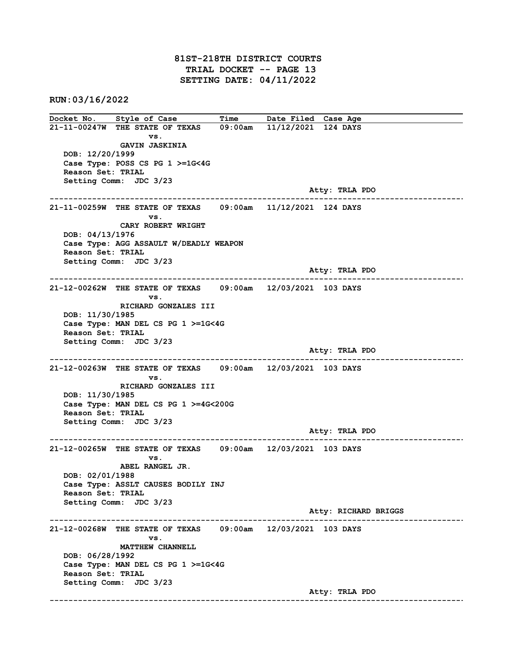81ST-218TH DISTRICT COURTS TRIAL DOCKET -- PAGE 13 SETTING DATE: 04/11/2022

RUN:03/16/2022

Docket No. Style of Case Time Date Filed Case Age 21-11-00247W THE STATE OF TEXAS 09:00am 11/12/2021 124 DAYS vs. GAVIN JASKINIA DOB: 12/20/1999 Case Type: POSS CS PG 1 >=1G<4G Reason Set: TRIAL Setting Comm: JDC 3/23 Atty: TRLA PDO ------------------------------------------------------------------------------------------------------------------------ 21-11-00259W THE STATE OF TEXAS 09:00am 11/12/2021 124 DAYS vs. CARY ROBERT WRIGHT DOB: 04/13/1976 Case Type: AGG ASSAULT W/DEADLY WEAPON Reason Set: TRIAL Setting Comm: JDC 3/23 Atty: TRLA PDO ------------------------------------------------------------------------------------------------------------------------  $21-12-00262W$  THE STATE OF TEXAS vs. RICHARD GONZALES III DOB: 11/30/1985 Case Type: MAN DEL CS PG 1 >=1G<4G Reason Set: TRIAL Setting Comm: JDC 3/23 Atty: TRLA PDO ------------------------------------------------------------------------------------------------------------------------ 21-12-00263W THE STATE OF TEXAS 09:00am 12/03/2021 103 DAYS vs. RICHARD GONZALES III DOB: 11/30/1985 Case Type: MAN DEL CS PG 1 >=4G<200G Reason Set: TRIAL Setting Comm: JDC 3/23 Atty: TRLA PDO ------------------------------------------------------------------------------------------------------------------------ 21-12-00265W THE STATE OF TEXAS 09:00am 12/03/2021 103 DAYS vs. ABEL RANGEL JR. DOB: 02/01/1988 Case Type: ASSLT CAUSES BODILY INJ Reason Set: TRIAL Setting Comm: JDC 3/23 Atty: RICHARD BRIGGS ------------------------------------------------------------------------------------------------------------------------ 21-12-00268W THE STATE OF TEXAS 09:00am 12/03/2021 103 DAYS vs. MATTHEW CHANNELL DOB: 06/28/1992 Case Type: MAN DEL CS PG 1 >=1G<4G Reason Set: TRIAL Setting Comm: JDC 3/23 Atty: TRLA PDO ------------------------------------------------------------------------------------------------------------------------